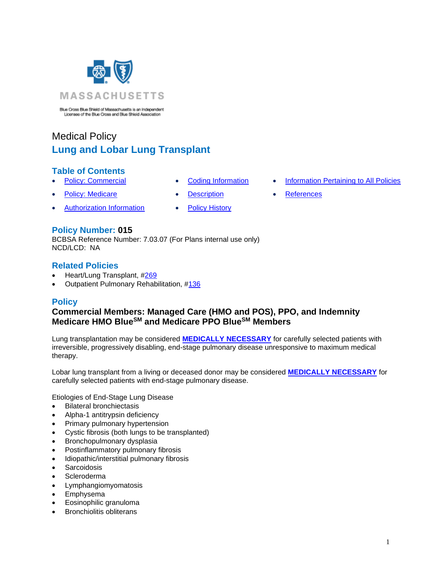

Blue Cross Blue Shield of Massachusetts is an Independent<br>Licenses of the Blue Cross and Blue Shield Association

# Medical Policy **Lung and Lobar Lung Transplant**

# **Table of Contents**

- 
- **[Policy: Medicare](#page-0-0) [Description](#page-2-0) [References](#page-4-1)**
- 
- **[Policy: Commercial](#page-0-0) [Coding Information](#page-1-0) [Information Pertaining to All Policies](#page-4-0)** 
	-
- Authorization Information [Policy History](#page-3-0)

# **Policy Number: 015**

BCBSA Reference Number: 7.03.07 (For Plans internal use only) NCD/LCD: NA

# **Related Policies**

- Heart/Lung Transplant, [#269](http://www.bluecrossma.org/medical-policies/sites/g/files/csphws2091/files/acquiadam-assets/269%20Heart%20Lung%20Transplant%20prn.pdf#page=1)
- <span id="page-0-0"></span>• Outpatient Pulmonary Rehabilitation, [#136](http://www.bluecrossma.org/medical-policies/sites/g/files/csphws2091/files/acquiadam-assets/136%20Outpatient%20Pulmonary%20Rehabilitation%20prn.pdf)

# **Policy**

# **Commercial Members: Managed Care (HMO and POS), PPO, and Indemnity Medicare HMO BlueSM and Medicare PPO BlueSM Members**

Lung transplantation may be considered **[MEDICALLY NECESSARY](https://www.bluecrossma.org/medical-policies/sites/g/files/csphws2091/files/acquiadam-assets/Definition%20of%20Med%20Nec%20Inv%20Not%20Med%20Nec%20prn.pdf)** for carefully selected patients with irreversible, progressively disabling, end-stage pulmonary disease unresponsive to maximum medical therapy.

Lobar lung transplant from a living or deceased donor may be considered **[MEDICALLY NECESSARY](https://www.bluecrossma.org/medical-policies/sites/g/files/csphws2091/files/acquiadam-assets/Definition%20of%20Med%20Nec%20Inv%20Not%20Med%20Nec%20prn.pdf)** for carefully selected patients with end-stage pulmonary disease.

Etiologies of End-Stage Lung Disease

- Bilateral bronchiectasis
- Alpha-1 antitrypsin deficiency
- Primary pulmonary hypertension
- Cystic fibrosis (both lungs to be transplanted)
- Bronchopulmonary dysplasia
- Postinflammatory pulmonary fibrosis
- Idiopathic/interstitial pulmonary fibrosis
- **Sarcoidosis**
- **Scleroderma**
- Lymphangiomyomatosis
- Emphysema
- Eosinophilic granuloma
- Bronchiolitis obliterans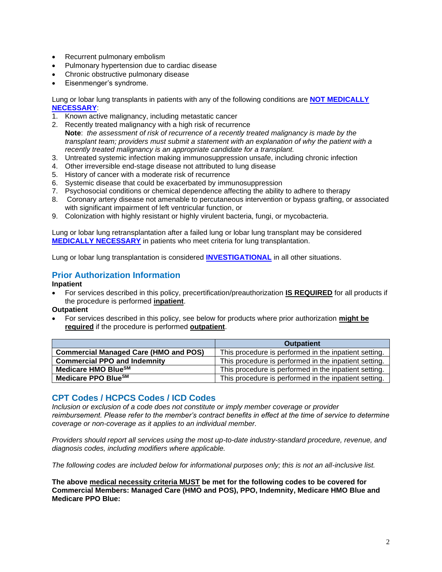- Recurrent pulmonary embolism
- Pulmonary hypertension due to cardiac disease
- Chronic obstructive pulmonary disease
- Eisenmenger's syndrome.

Lung or lobar lung transplants in patients with any of the following conditions are **NOT [MEDICALLY](https://www.bluecrossma.org/medical-policies/sites/g/files/csphws2091/files/acquiadam-assets/Definition%20of%20Med%20Nec%20Inv%20Not%20Med%20Nec%20prn.pdf)  [NECESSARY](https://www.bluecrossma.org/medical-policies/sites/g/files/csphws2091/files/acquiadam-assets/Definition%20of%20Med%20Nec%20Inv%20Not%20Med%20Nec%20prn.pdf)**:

- 1. Known active malignancy, including metastatic cancer
- 2. Recently treated malignancy with a high risk of recurrence **Note**: *the assessment of risk of recurrence of a recently treated malignancy is made by the transplant team; providers must submit a statement with an explanation of why the patient with a recently treated malignancy is an appropriate candidate for a transplant.*
- 3. Untreated systemic infection making immunosuppression unsafe, including chronic infection
- 4. Other irreversible end-stage disease not attributed to lung disease
- 5. History of cancer with a moderate risk of recurrence
- 6. Systemic disease that could be exacerbated by immunosuppression
- 7. Psychosocial conditions or chemical dependence affecting the ability to adhere to therapy
- 8. Coronary artery disease not amenable to percutaneous intervention or bypass grafting, or associated with significant impairment of left ventricular function, or
- 9. Colonization with highly resistant or highly virulent bacteria, fungi, or mycobacteria.

Lung or lobar lung retransplantation after a failed lung or lobar lung transplant may be considered **[MEDICALLY NECESSARY](https://www.bluecrossma.org/medical-policies/sites/g/files/csphws2091/files/acquiadam-assets/Definition%20of%20Med%20Nec%20Inv%20Not%20Med%20Nec%20prn.pdf)** in patients who meet criteria for lung transplantation.

Lung or lobar lung transplantation is considered **[INVESTIGATIONAL](https://www.bluecrossma.org/medical-policies/sites/g/files/csphws2091/files/acquiadam-assets/Definition%20of%20Med%20Nec%20Inv%20Not%20Med%20Nec%20prn.pdf)** in all other situations.

# **Prior Authorization Information**

### **Inpatient**

• For services described in this policy, precertification/preauthorization **IS REQUIRED** for all products if the procedure is performed **inpatient**.

#### **Outpatient**

• For services described in this policy, see below for products where prior authorization **might be required** if the procedure is performed **outpatient**.

|                                              | <b>Outpatient</b>                                     |
|----------------------------------------------|-------------------------------------------------------|
| <b>Commercial Managed Care (HMO and POS)</b> | This procedure is performed in the inpatient setting. |
| <b>Commercial PPO and Indemnity</b>          | This procedure is performed in the inpatient setting. |
| Medicare HMO BlueSM                          | This procedure is performed in the inpatient setting. |
| Medicare PPO Blue <sup>SM</sup>              | This procedure is performed in the inpatient setting. |

### <span id="page-1-0"></span>**CPT Codes / HCPCS Codes / ICD Codes**

*Inclusion or exclusion of a code does not constitute or imply member coverage or provider reimbursement. Please refer to the member's contract benefits in effect at the time of service to determine coverage or non-coverage as it applies to an individual member.*

*Providers should report all services using the most up-to-date industry-standard procedure, revenue, and diagnosis codes, including modifiers where applicable.*

*The following codes are included below for informational purposes only; this is not an all-inclusive list.*

**The above medical necessity criteria MUST be met for the following codes to be covered for Commercial Members: Managed Care (HMO and POS), PPO, Indemnity, Medicare HMO Blue and Medicare PPO Blue:**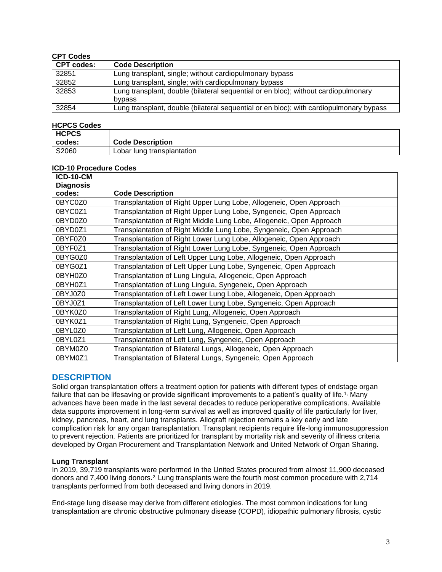### **CPT Codes**

| <b>CPT codes:</b> | <b>Code Description</b>                                                                      |
|-------------------|----------------------------------------------------------------------------------------------|
| 32851             | Lung transplant, single; without cardiopulmonary bypass                                      |
| 32852             | Lung transplant, single; with cardiopulmonary bypass                                         |
| 32853             | Lung transplant, double (bilateral sequential or en bloc); without cardiopulmonary<br>bypass |
| 32854             | Lung transplant, double (bilateral sequential or en bloc); with cardiopulmonary bypass       |

#### **HCPCS Codes**

| <b>HCPCS</b> |                            |
|--------------|----------------------------|
| l codes:     | <b>Code Description</b>    |
| S2060        | Lobar lung transplantation |

### **ICD-10 Procedure Codes**

| <b>ICD-10-CM</b> |                                                                      |
|------------------|----------------------------------------------------------------------|
| <b>Diagnosis</b> |                                                                      |
| codes:           | <b>Code Description</b>                                              |
| 0BYC0Z0          | Transplantation of Right Upper Lung Lobe, Allogeneic, Open Approach  |
| 0BYC0Z1          | Transplantation of Right Upper Lung Lobe, Syngeneic, Open Approach   |
| 0BYD0Z0          | Transplantation of Right Middle Lung Lobe, Allogeneic, Open Approach |
| 0BYD0Z1          | Transplantation of Right Middle Lung Lobe, Syngeneic, Open Approach  |
| 0BYF0Z0          | Transplantation of Right Lower Lung Lobe, Allogeneic, Open Approach  |
| 0BYF0Z1          | Transplantation of Right Lower Lung Lobe, Syngeneic, Open Approach   |
| 0BYG0Z0          | Transplantation of Left Upper Lung Lobe, Allogeneic, Open Approach   |
| 0BYG0Z1          | Transplantation of Left Upper Lung Lobe, Syngeneic, Open Approach    |
| 0BYH0Z0          | Transplantation of Lung Lingula, Allogeneic, Open Approach           |
| 0BYH0Z1          | Transplantation of Lung Lingula, Syngeneic, Open Approach            |
| 0BYJ0Z0          | Transplantation of Left Lower Lung Lobe, Allogeneic, Open Approach   |
| 0BYJ0Z1          | Transplantation of Left Lower Lung Lobe, Syngeneic, Open Approach    |
| 0BYK0Z0          | Transplantation of Right Lung, Allogeneic, Open Approach             |
| 0BYK0Z1          | Transplantation of Right Lung, Syngeneic, Open Approach              |
| 0BYL0Z0          | Transplantation of Left Lung, Allogeneic, Open Approach              |
| 0BYL0Z1          | Transplantation of Left Lung, Syngeneic, Open Approach               |
| 0BYM0Z0          | Transplantation of Bilateral Lungs, Allogeneic, Open Approach        |
| 0BYM0Z1          | Transplantation of Bilateral Lungs, Syngeneic, Open Approach         |

### <span id="page-2-0"></span>**DESCRIPTION**

Solid organ transplantation offers a treatment option for patients with different types of endstage organ failure that can be lifesaving or provide significant improvements to a patient's quality of life.<sup>[1,](https://www.evidencepositioningsystem.com/_w_68ba5b8c87aef584238314fd87c26710caf048f9b3ca5440/BCBSA/html/_blank)</sup> Many advances have been made in the last several decades to reduce perioperative complications. Available data supports improvement in long-term survival as well as improved quality of life particularly for liver, kidney, pancreas, heart, and lung transplants. Allograft rejection remains a key early and late complication risk for any organ transplantation. Transplant recipients require life-long immunosuppression to prevent rejection. Patients are prioritized for transplant by mortality risk and severity of illness criteria developed by Organ Procurement and Transplantation Network and United Network of Organ Sharing.

#### **Lung Transplant**

In 2019, 39,719 transplants were performed in the United States procured from almost 11,900 deceased donors and 7,400 living donors.<sup>2</sup> Lung transplants were the fourth most common procedure with [2,](https://www.evidencepositioningsystem.com/_w_68ba5b8c87aef584238314fd87c26710caf048f9b3ca5440/BCBSA/html/_blank)714 transplants performed from both deceased and living donors in 2019.

End-stage lung disease may derive from different etiologies. The most common indications for lung transplantation are chronic obstructive pulmonary disease (COPD), idiopathic pulmonary fibrosis, cystic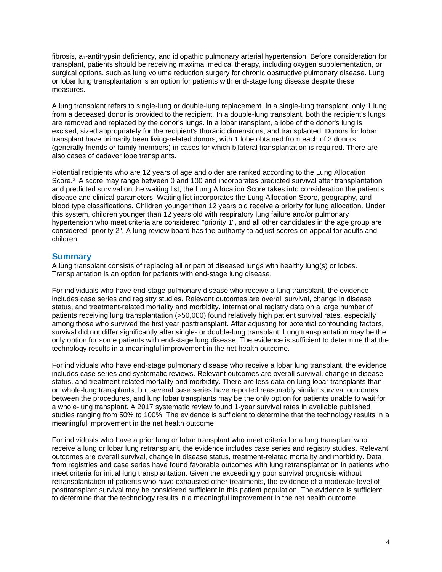fibrosis, a<sub>1</sub>-antitrypsin deficiency, and idiopathic pulmonary arterial hypertension. Before consideration for transplant, patients should be receiving maximal medical therapy, including oxygen supplementation, or surgical options, such as lung volume reduction surgery for chronic obstructive pulmonary disease. Lung or lobar lung transplantation is an option for patients with end-stage lung disease despite these measures.

A lung transplant refers to single-lung or double-lung replacement. In a single-lung transplant, only 1 lung from a deceased donor is provided to the recipient. In a double-lung transplant, both the recipient's lungs are removed and replaced by the donor's lungs. In a lobar transplant, a lobe of the donor's lung is excised, sized appropriately for the recipient's thoracic dimensions, and transplanted. Donors for lobar transplant have primarily been living-related donors, with 1 lobe obtained from each of 2 donors (generally friends or family members) in cases for which bilateral transplantation is required. There are also cases of cadaver lobe transplants.

Potential recipients who are 12 years of age and older are ranked according to the Lung Allocation Score.<sup>3</sup> A score may range between 0 and 100 and incorporates predicted survival after transplantation and predicted survival on the waiting list; the Lung Allocation Score takes into consideration the patient's disease and clinical parameters. Waiting list incorporates the Lung Allocation Score, geography, and blood type classifications. Children younger than 12 years old receive a priority for lung allocation. Under this system, children younger than 12 years old with respiratory lung failure and/or pulmonary hypertension who meet criteria are considered "priority 1", and all other candidates in the age group are considered "priority 2". A lung review board has the authority to adjust scores on appeal for adults and children.

### **Summary**

A lung transplant consists of replacing all or part of diseased lungs with healthy lung(s) or lobes. Transplantation is an option for patients with end-stage lung disease.

For individuals who have end-stage pulmonary disease who receive a lung transplant, the evidence includes case series and registry studies. Relevant outcomes are overall survival, change in disease status, and treatment-related mortality and morbidity. International registry data on a large number of patients receiving lung transplantation (>50,000) found relatively high patient survival rates, especially among those who survived the first year posttransplant. After adjusting for potential confounding factors, survival did not differ significantly after single- or double-lung transplant. Lung transplantation may be the only option for some patients with end-stage lung disease. The evidence is sufficient to determine that the technology results in a meaningful improvement in the net health outcome.

For individuals who have end-stage pulmonary disease who receive a lobar lung transplant, the evidence includes case series and systematic reviews. Relevant outcomes are overall survival, change in disease status, and treatment-related mortality and morbidity. There are less data on lung lobar transplants than on whole-lung transplants, but several case series have reported reasonably similar survival outcomes between the procedures, and lung lobar transplants may be the only option for patients unable to wait for a whole-lung transplant. A 2017 systematic review found 1-year survival rates in available published studies ranging from 50% to 100%. The evidence is sufficient to determine that the technology results in a meaningful improvement in the net health outcome.

<span id="page-3-0"></span>For individuals who have a prior lung or lobar transplant who meet criteria for a lung transplant who receive a lung or lobar lung retransplant, the evidence includes case series and registry studies. Relevant outcomes are overall survival, change in disease status, treatment-related mortality and morbidity. Data from registries and case series have found favorable outcomes with lung retransplantation in patients who meet criteria for initial lung transplantation. Given the exceedingly poor survival prognosis without retransplantation of patients who have exhausted other treatments, the evidence of a moderate level of posttransplant survival may be considered sufficient in this patient population. The evidence is sufficient to determine that the technology results in a meaningful improvement in the net health outcome.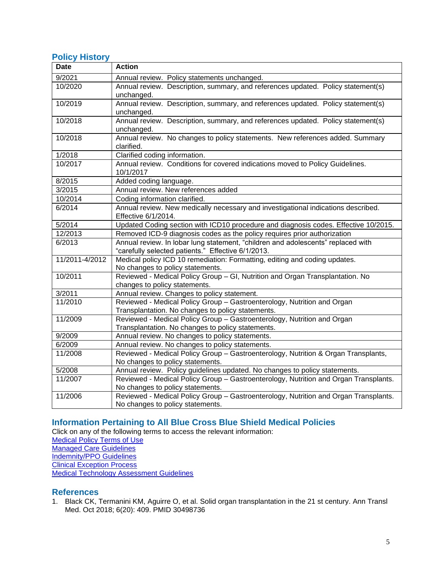### **Policy History**

| <b>Date</b>    | <b>Action</b>                                                                                                                          |
|----------------|----------------------------------------------------------------------------------------------------------------------------------------|
| 9/2021         | Annual review. Policy statements unchanged.                                                                                            |
| 10/2020        | Annual review. Description, summary, and references updated. Policy statement(s)<br>unchanged.                                         |
| 10/2019        | Annual review. Description, summary, and references updated. Policy statement(s)<br>unchanged.                                         |
| 10/2018        | Annual review. Description, summary, and references updated. Policy statement(s)<br>unchanged.                                         |
| 10/2018        | Annual review. No changes to policy statements. New references added. Summary<br>clarified.                                            |
| 1/2018         | Clarified coding information.                                                                                                          |
| 10/2017        | Annual review. Conditions for covered indications moved to Policy Guidelines.<br>10/1/2017                                             |
| 8/2015         | Added coding language.                                                                                                                 |
| 3/2015         | Annual review. New references added                                                                                                    |
| 10/2014        | Coding information clarified.                                                                                                          |
| 6/2014         | Annual review. New medically necessary and investigational indications described.<br>Effective 6/1/2014.                               |
| 5/2014         | Updated Coding section with ICD10 procedure and diagnosis codes. Effective 10/2015.                                                    |
| 12/2013        | Removed ICD-9 diagnosis codes as the policy requires prior authorization                                                               |
| 6/2013         | Annual review. In lobar lung statement, "children and adolescents" replaced with<br>"carefully selected patients." Effective 6/1/2013. |
| 11/2011-4/2012 | Medical policy ICD 10 remediation: Formatting, editing and coding updates.<br>No changes to policy statements.                         |
| 10/2011        | Reviewed - Medical Policy Group - GI, Nutrition and Organ Transplantation. No<br>changes to policy statements.                         |
| 3/2011         | Annual review. Changes to policy statement.                                                                                            |
| 11/2010        | Reviewed - Medical Policy Group - Gastroenterology, Nutrition and Organ<br>Transplantation. No changes to policy statements.           |
| 11/2009        | Reviewed - Medical Policy Group - Gastroenterology, Nutrition and Organ<br>Transplantation. No changes to policy statements.           |
| 9/2009         | Annual review. No changes to policy statements.                                                                                        |
| 6/2009         | Annual review. No changes to policy statements.                                                                                        |
| 11/2008        | Reviewed - Medical Policy Group - Gastroenterology, Nutrition & Organ Transplants,<br>No changes to policy statements.                 |
| 5/2008         | Annual review. Policy guidelines updated. No changes to policy statements.                                                             |
| 11/2007        | Reviewed - Medical Policy Group - Gastroenterology, Nutrition and Organ Transplants.<br>No changes to policy statements.               |
| 11/2006        | Reviewed - Medical Policy Group - Gastroenterology, Nutrition and Organ Transplants.<br>No changes to policy statements.               |

# <span id="page-4-0"></span>**[Information Pertaining to All Blue Cross Blue Shield Medical Policies](#page-4-0)**

Click on any of the following terms to access the relevant information:

[Medical Policy Terms of Use](http://www.bluecrossma.org/medical-policies/sites/g/files/csphws2091/files/acquiadam-assets/Medical_Policy_Terms_of_Use_prn.pdf)

[Managed Care Guidelines](http://www.bluecrossma.org/medical-policies/sites/g/files/csphws2091/files/acquiadam-assets/Managed_Care_Guidelines_prn.pdf)

[Indemnity/PPO Guidelines](http://www.bluecrossma.org/medical-policies/sites/g/files/csphws2091/files/acquiadam-assets/Indemnity_and_PPO_Guidelines_prn.pdf)

[Clinical Exception Process](http://www.bluecrossma.org/medical-policies/sites/g/files/csphws2091/files/acquiadam-assets/Clinical_Exception_Process_prn.pdf)

[Medical Technology Assessment Guidelines](http://www.bluecrossma.org/medical-policies/sites/g/files/csphws2091/files/acquiadam-assets/Medical_Technology_Assessment_Guidelines_prn.pdf)

### <span id="page-4-1"></span>**References**

1. Black CK, Termanini KM, Aguirre O, et al. Solid organ transplantation in the 21 st century. Ann Transl Med. Oct 2018; 6(20): 409. PMID 30498736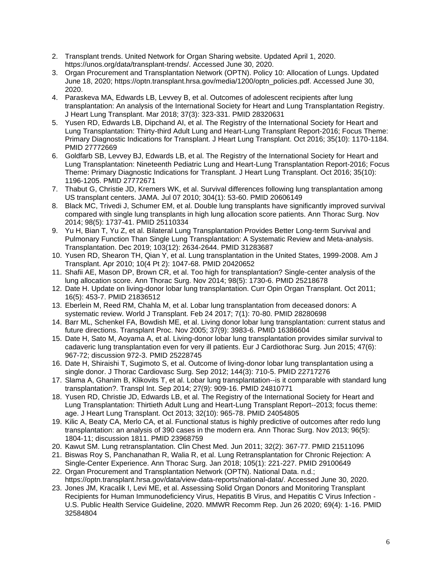- 2. Transplant trends. United Network for Organ Sharing website. Updated April 1, 2020. https://unos.org/data/transplant-trends/. Accessed June 30, 2020.
- 3. Organ Procurement and Transplantation Network (OPTN). Policy 10: Allocation of Lungs. Updated June 18, 2020; https://optn.transplant.hrsa.gov/media/1200/optn\_policies.pdf. Accessed June 30, 2020.
- 4. Paraskeva MA, Edwards LB, Levvey B, et al. Outcomes of adolescent recipients after lung transplantation: An analysis of the International Society for Heart and Lung Transplantation Registry. J Heart Lung Transplant. Mar 2018; 37(3): 323-331. PMID 28320631
- 5. Yusen RD, Edwards LB, Dipchand AI, et al. The Registry of the International Society for Heart and Lung Transplantation: Thirty-third Adult Lung and Heart-Lung Transplant Report-2016; Focus Theme: Primary Diagnostic Indications for Transplant. J Heart Lung Transplant. Oct 2016; 35(10): 1170-1184. PMID 27772669
- 6. Goldfarb SB, Levvey BJ, Edwards LB, et al. The Registry of the International Society for Heart and Lung Transplantation: Nineteenth Pediatric Lung and Heart-Lung Transplantation Report-2016; Focus Theme: Primary Diagnostic Indications for Transplant. J Heart Lung Transplant. Oct 2016; 35(10): 1196-1205. PMID 27772671
- 7. Thabut G, Christie JD, Kremers WK, et al. Survival differences following lung transplantation among US transplant centers. JAMA. Jul 07 2010; 304(1): 53-60. PMID 20606149
- 8. Black MC, Trivedi J, Schumer EM, et al. Double lung transplants have significantly improved survival compared with single lung transplants in high lung allocation score patients. Ann Thorac Surg. Nov 2014; 98(5): 1737-41. PMID 25110334
- 9. Yu H, Bian T, Yu Z, et al. Bilateral Lung Transplantation Provides Better Long-term Survival and Pulmonary Function Than Single Lung Transplantation: A Systematic Review and Meta-analysis. Transplantation. Dec 2019; 103(12): 2634-2644. PMID 31283687
- 10. Yusen RD, Shearon TH, Qian Y, et al. Lung transplantation in the United States, 1999-2008. Am J Transplant. Apr 2010; 10(4 Pt 2): 1047-68. PMID 20420652
- 11. Shafii AE, Mason DP, Brown CR, et al. Too high for transplantation? Single-center analysis of the lung allocation score. Ann Thorac Surg. Nov 2014; 98(5): 1730-6. PMID 25218678
- 12. Date H. Update on living-donor lobar lung transplantation. Curr Opin Organ Transplant. Oct 2011; 16(5): 453-7. PMID 21836512
- 13. Eberlein M, Reed RM, Chahla M, et al. Lobar lung transplantation from deceased donors: A systematic review. World J Transplant. Feb 24 2017; 7(1): 70-80. PMID 28280698
- 14. Barr ML, Schenkel FA, Bowdish ME, et al. Living donor lobar lung transplantation: current status and future directions. Transplant Proc. Nov 2005; 37(9): 3983-6. PMID 16386604
- 15. Date H, Sato M, Aoyama A, et al. Living-donor lobar lung transplantation provides similar survival to cadaveric lung transplantation even for very ill patients. Eur J Cardiothorac Surg. Jun 2015; 47(6): 967-72; discussion 972-3. PMID 25228745
- 16. Date H, Shiraishi T, Sugimoto S, et al. Outcome of living-donor lobar lung transplantation using a single donor. J Thorac Cardiovasc Surg. Sep 2012; 144(3): 710-5. PMID 22717276
- 17. Slama A, Ghanim B, Klikovits T, et al. Lobar lung transplantation--is it comparable with standard lung transplantation?. Transpl Int. Sep 2014; 27(9): 909-16. PMID 24810771
- 18. Yusen RD, Christie JD, Edwards LB, et al. The Registry of the International Society for Heart and Lung Transplantation: Thirtieth Adult Lung and Heart-Lung Transplant Report--2013; focus theme: age. J Heart Lung Transplant. Oct 2013; 32(10): 965-78. PMID 24054805
- 19. Kilic A, Beaty CA, Merlo CA, et al. Functional status is highly predictive of outcomes after redo lung transplantation: an analysis of 390 cases in the modern era. Ann Thorac Surg. Nov 2013; 96(5): 1804-11; discussion 1811. PMID 23968759
- 20. Kawut SM. Lung retransplantation. Clin Chest Med. Jun 2011; 32(2): 367-77. PMID 21511096
- 21. Biswas Roy S, Panchanathan R, Walia R, et al. Lung Retransplantation for Chronic Rejection: A Single-Center Experience. Ann Thorac Surg. Jan 2018; 105(1): 221-227. PMID 29100649
- 22. Organ Procurement and Transplantation Network (OPTN). National Data. n.d.; https://optn.transplant.hrsa.gov/data/view-data-reports/national-data/. Accessed June 30, 2020.
- 23. Jones JM, Kracalik I, Levi ME, et al. Assessing Solid Organ Donors and Monitoring Transplant Recipients for Human Immunodeficiency Virus, Hepatitis B Virus, and Hepatitis C Virus Infection -U.S. Public Health Service Guideline, 2020. MMWR Recomm Rep. Jun 26 2020; 69(4): 1-16. PMID 32584804